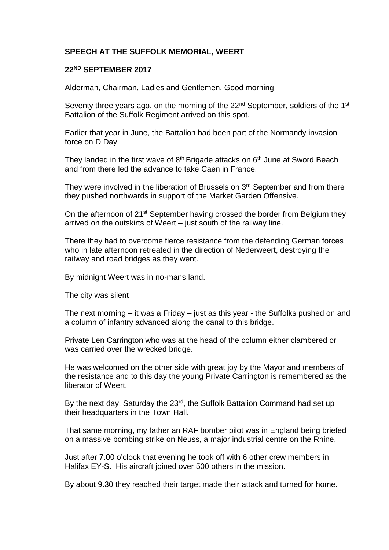## **SPEECH AT THE SUFFOLK MEMORIAL, WEERT**

## **22ND SEPTEMBER 2017**

Alderman, Chairman, Ladies and Gentlemen, Good morning

Seventy three years ago, on the morning of the 22<sup>nd</sup> September, soldiers of the 1<sup>st</sup> Battalion of the Suffolk Regiment arrived on this spot.

Earlier that year in June, the Battalion had been part of the Normandy invasion force on D Day

They landed in the first wave of  $8<sup>th</sup>$  Brigade attacks on  $6<sup>th</sup>$  June at Sword Beach and from there led the advance to take Caen in France.

They were involved in the liberation of Brussels on 3<sup>rd</sup> September and from there they pushed northwards in support of the Market Garden Offensive.

On the afternoon of 21<sup>st</sup> September having crossed the border from Belgium they arrived on the outskirts of Weert – just south of the railway line.

There they had to overcome fierce resistance from the defending German forces who in late afternoon retreated in the direction of Nederweert, destroying the railway and road bridges as they went.

By midnight Weert was in no-mans land.

The city was silent

The next morning – it was a Friday – just as this year - the Suffolks pushed on and a column of infantry advanced along the canal to this bridge.

Private Len Carrington who was at the head of the column either clambered or was carried over the wrecked bridge.

He was welcomed on the other side with great joy by the Mayor and members of the resistance and to this day the young Private Carrington is remembered as the liberator of Weert.

By the next day, Saturday the 23<sup>rd</sup>, the Suffolk Battalion Command had set up their headquarters in the Town Hall.

That same morning, my father an RAF bomber pilot was in England being briefed on a massive bombing strike on Neuss, a major industrial centre on the Rhine.

Just after 7.00 o'clock that evening he took off with 6 other crew members in Halifax EY-S. His aircraft joined over 500 others in the mission.

By about 9.30 they reached their target made their attack and turned for home.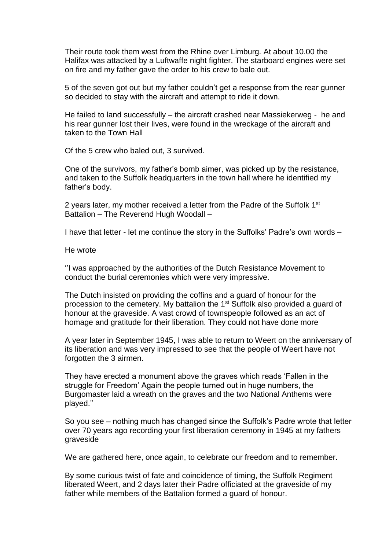Their route took them west from the Rhine over Limburg. At about 10.00 the Halifax was attacked by a Luftwaffe night fighter. The starboard engines were set on fire and my father gave the order to his crew to bale out.

5 of the seven got out but my father couldn't get a response from the rear gunner so decided to stay with the aircraft and attempt to ride it down.

He failed to land successfully – the aircraft crashed near Massiekerweg - he and his rear gunner lost their lives, were found in the wreckage of the aircraft and taken to the Town Hall

Of the 5 crew who baled out, 3 survived.

One of the survivors, my father's bomb aimer, was picked up by the resistance, and taken to the Suffolk headquarters in the town hall where he identified my father's body.

2 years later, my mother received a letter from the Padre of the Suffolk 1<sup>st</sup> Battalion – The Reverend Hugh Woodall –

I have that letter - let me continue the story in the Suffolks' Padre's own words –

He wrote

''I was approached by the authorities of the Dutch Resistance Movement to conduct the burial ceremonies which were very impressive.

The Dutch insisted on providing the coffins and a guard of honour for the procession to the cemetery. My battalion the 1st Suffolk also provided a guard of honour at the graveside. A vast crowd of townspeople followed as an act of homage and gratitude for their liberation. They could not have done more

A year later in September 1945, I was able to return to Weert on the anniversary of its liberation and was very impressed to see that the people of Weert have not forgotten the 3 airmen.

They have erected a monument above the graves which reads 'Fallen in the struggle for Freedom' Again the people turned out in huge numbers, the Burgomaster laid a wreath on the graves and the two National Anthems were played.''

So you see – nothing much has changed since the Suffolk's Padre wrote that letter over 70 years ago recording your first liberation ceremony in 1945 at my fathers graveside

We are gathered here, once again, to celebrate our freedom and to remember.

By some curious twist of fate and coincidence of timing, the Suffolk Regiment liberated Weert, and 2 days later their Padre officiated at the graveside of my father while members of the Battalion formed a guard of honour.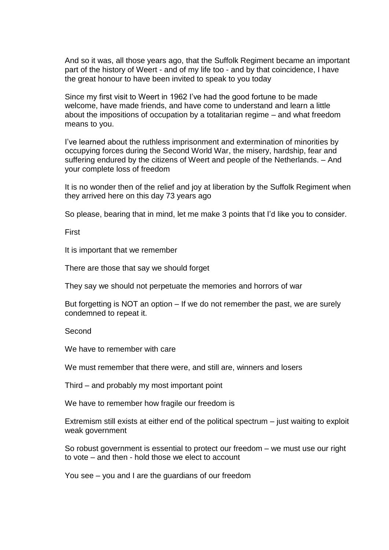And so it was, all those years ago, that the Suffolk Regiment became an important part of the history of Weert - and of my life too - and by that coincidence, I have the great honour to have been invited to speak to you today

Since my first visit to Weert in 1962 I've had the good fortune to be made welcome, have made friends, and have come to understand and learn a little about the impositions of occupation by a totalitarian regime – and what freedom means to you.

I've learned about the ruthless imprisonment and extermination of minorities by occupying forces during the Second World War, the misery, hardship, fear and suffering endured by the citizens of Weert and people of the Netherlands. – And your complete loss of freedom

It is no wonder then of the relief and joy at liberation by the Suffolk Regiment when they arrived here on this day 73 years ago

So please, bearing that in mind, let me make 3 points that I'd like you to consider.

First

It is important that we remember

There are those that say we should forget

They say we should not perpetuate the memories and horrors of war

But forgetting is NOT an option – If we do not remember the past, we are surely condemned to repeat it.

**Second** 

We have to remember with care

We must remember that there were, and still are, winners and losers

Third – and probably my most important point

We have to remember how fragile our freedom is

Extremism still exists at either end of the political spectrum – just waiting to exploit weak government

So robust government is essential to protect our freedom – we must use our right to vote – and then - hold those we elect to account

You see – you and I are the guardians of our freedom